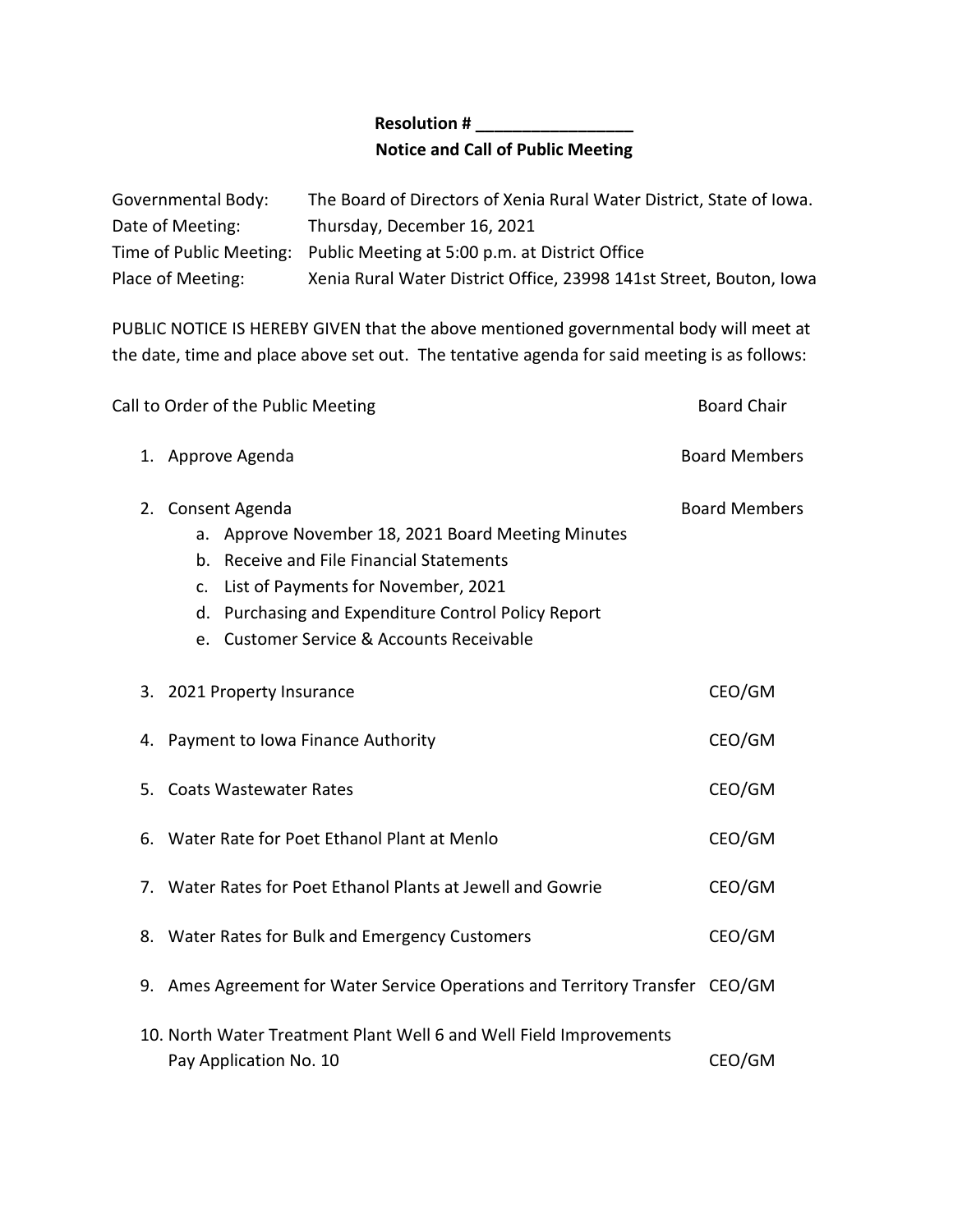## **Resolution # \_\_\_\_\_\_\_\_\_\_\_\_\_\_\_\_\_ Notice and Call of Public Meeting**

| Governmental Body: | The Board of Directors of Xenia Rural Water District, State of Iowa.   |
|--------------------|------------------------------------------------------------------------|
| Date of Meeting:   | Thursday, December 16, 2021                                            |
|                    | Time of Public Meeting: Public Meeting at 5:00 p.m. at District Office |
| Place of Meeting:  | Xenia Rural Water District Office, 23998 141st Street, Bouton, Iowa    |

PUBLIC NOTICE IS HEREBY GIVEN that the above mentioned governmental body will meet at the date, time and place above set out. The tentative agenda for said meeting is as follows:

|    | Call to Order of the Public Meeting                         |                                                                                                                                                                                                                                                                   | <b>Board Chair</b>   |
|----|-------------------------------------------------------------|-------------------------------------------------------------------------------------------------------------------------------------------------------------------------------------------------------------------------------------------------------------------|----------------------|
|    | 1. Approve Agenda                                           |                                                                                                                                                                                                                                                                   | <b>Board Members</b> |
|    |                                                             | 2. Consent Agenda<br>a. Approve November 18, 2021 Board Meeting Minutes<br>b. Receive and File Financial Statements<br>c. List of Payments for November, 2021<br>d. Purchasing and Expenditure Control Policy Report<br>e. Customer Service & Accounts Receivable | <b>Board Members</b> |
|    |                                                             | 3. 2021 Property Insurance                                                                                                                                                                                                                                        | CEO/GM               |
|    |                                                             | 4. Payment to Iowa Finance Authority                                                                                                                                                                                                                              | CEO/GM               |
|    |                                                             | 5. Coats Wastewater Rates                                                                                                                                                                                                                                         | CEO/GM               |
| 6. |                                                             | Water Rate for Poet Ethanol Plant at Menlo                                                                                                                                                                                                                        | CEO/GM               |
|    | 7. Water Rates for Poet Ethanol Plants at Jewell and Gowrie |                                                                                                                                                                                                                                                                   |                      |
|    |                                                             | 8. Water Rates for Bulk and Emergency Customers                                                                                                                                                                                                                   | CEO/GM               |
|    |                                                             | 9. Ames Agreement for Water Service Operations and Territory Transfer CEO/GM                                                                                                                                                                                      |                      |
|    |                                                             | 10. North Water Treatment Plant Well 6 and Well Field Improvements<br>Pay Application No. 10                                                                                                                                                                      | CEO/GM               |